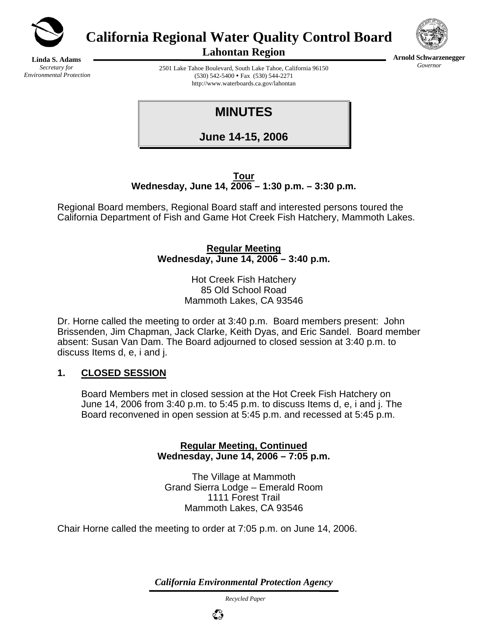

**California Regional Water Quality Control Board** 



**Arnold Schwarzenegger** *Governor* 

**Linda S. Adams**  *Secretary for Environmental Protection*  **Lahontan Region** 

2501 Lake Tahoe Boulevard, South Lake Tahoe, California 96150  $(530)$  542-5400 • Fax  $(530)$  544-2271 http://www.waterboards.ca.gov/lahontan

**MINUTES** 

**June 14-15, 2006**

**Tour Wednesday, June 14, 2006 – 1:30 p.m. – 3:30 p.m.** 

Regional Board members, Regional Board staff and interested persons toured the California Department of Fish and Game Hot Creek Fish Hatchery, Mammoth Lakes.

> **Regular Meeting Wednesday, June 14, 2006 – 3:40 p.m.**

> > Hot Creek Fish Hatchery 85 Old School Road Mammoth Lakes, CA 93546

Dr. Horne called the meeting to order at 3:40 p.m. Board members present: John Brissenden, Jim Chapman, Jack Clarke, Keith Dyas, and Eric Sandel. Board member absent: Susan Van Dam. The Board adjourned to closed session at 3:40 p.m. to discuss Items d, e, i and j.

## **1. CLOSED SESSION**

Board Members met in closed session at the Hot Creek Fish Hatchery on June 14, 2006 from 3:40 p.m. to 5:45 p.m. to discuss Items d, e, i and j. The Board reconvened in open session at 5:45 p.m. and recessed at 5:45 p.m.

> **Regular Meeting, Continued Wednesday, June 14, 2006 – 7:05 p.m.**

The Village at Mammoth Grand Sierra Lodge – Emerald Room 1111 Forest Trail Mammoth Lakes, CA 93546

Chair Horne called the meeting to order at 7:05 p.m. on June 14, 2006.

*California Environmental Protection Agency*

 *Recycled Paper*

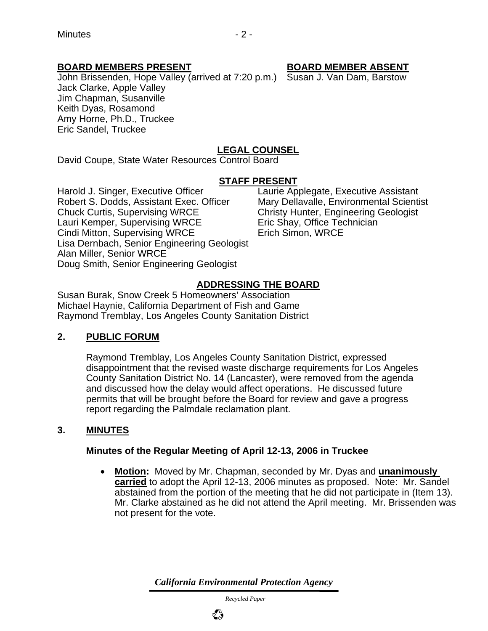## **BOARD MEMBERS PRESENT BOARD MEMBER ABSENT**

John Brissenden, Hope Valley (arrived at 7:20 p.m.) Susan J. Van Dam, Barstow Jack Clarke, Apple Valley Jim Chapman, Susanville Keith Dyas, Rosamond Amy Horne, Ph.D., Truckee Eric Sandel, Truckee

## **LEGAL COUNSEL**

David Coupe, State Water Resources Control Board

#### **STAFF PRESENT**

Harold J. Singer, Executive Officer Laurie Applegate, Executive Assistant Robert S. Dodds, Assistant Exec. Officer Mary Dellavalle, Environmental Scientist Chuck Curtis, Supervising WRCE Christy Hunter, Engineering Geologist Lauri Kemper, Supervising WRCE Eric Shay, Office Technician Cindi Mitton, Supervising WRCE Erich Simon, WRCE Lisa Dernbach, Senior Engineering Geologist Alan Miller, Senior WRCE Doug Smith, Senior Engineering Geologist

## **ADDRESSING THE BOARD**

Susan Burak, Snow Creek 5 Homeowners' Association Michael Haynie, California Department of Fish and Game Raymond Tremblay, Los Angeles County Sanitation District

## **2. PUBLIC FORUM**

Raymond Tremblay, Los Angeles County Sanitation District, expressed disappointment that the revised waste discharge requirements for Los Angeles County Sanitation District No. 14 (Lancaster), were removed from the agenda and discussed how the delay would affect operations. He discussed future permits that will be brought before the Board for review and gave a progress report regarding the Palmdale reclamation plant.

#### **3. MINUTES**

#### **Minutes of the Regular Meeting of April 12-13, 2006 in Truckee**

• **Motion:** Moved by Mr. Chapman, seconded by Mr. Dyas and **unanimously carried** to adopt the April 12-13, 2006 minutes as proposed. Note: Mr. Sandel abstained from the portion of the meeting that he did not participate in (Item 13). Mr. Clarke abstained as he did not attend the April meeting. Mr. Brissenden was not present for the vote.

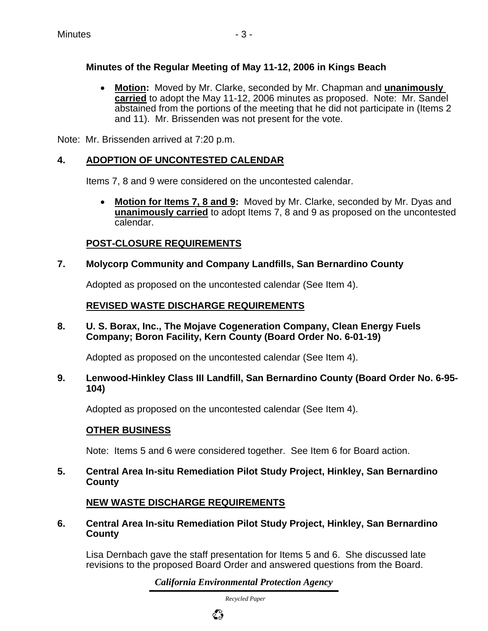## **Minutes of the Regular Meeting of May 11-12, 2006 in Kings Beach**

• **Motion:** Moved by Mr. Clarke, seconded by Mr. Chapman and **unanimously carried** to adopt the May 11-12, 2006 minutes as proposed. Note: Mr. Sandel abstained from the portions of the meeting that he did not participate in (Items 2 and 11). Mr. Brissenden was not present for the vote.

Note: Mr. Brissenden arrived at 7:20 p.m.

## **4. ADOPTION OF UNCONTESTED CALENDAR**

Items 7, 8 and 9 were considered on the uncontested calendar.

• **Motion for Items 7, 8 and 9:** Moved by Mr. Clarke, seconded by Mr. Dyas and **unanimously carried** to adopt Items 7, 8 and 9 as proposed on the uncontested calendar.

## **POST-CLOSURE REQUIREMENTS**

**7. Molycorp Community and Company Landfills, San Bernardino County**

Adopted as proposed on the uncontested calendar (See Item 4).

## **REVISED WASTE DISCHARGE REQUIREMENTS**

**8. U. S. Borax, Inc., The Mojave Cogeneration Company, Clean Energy Fuels Company; Boron Facility, Kern County (Board Order No. 6-01-19)** 

Adopted as proposed on the uncontested calendar (See Item 4).

**9. Lenwood-Hinkley Class III Landfill, San Bernardino County (Board Order No. 6-95- 104)** 

Adopted as proposed on the uncontested calendar (See Item 4).

## **OTHER BUSINESS**

Note: Items 5 and 6 were considered together. See Item 6 for Board action.

**5. Central Area In-situ Remediation Pilot Study Project, Hinkley, San Bernardino County**

## **NEW WASTE DISCHARGE REQUIREMENTS**

**6. Central Area In-situ Remediation Pilot Study Project, Hinkley, San Bernardino County**

Lisa Dernbach gave the staff presentation for Items 5 and 6. She discussed late revisions to the proposed Board Order and answered questions from the Board.

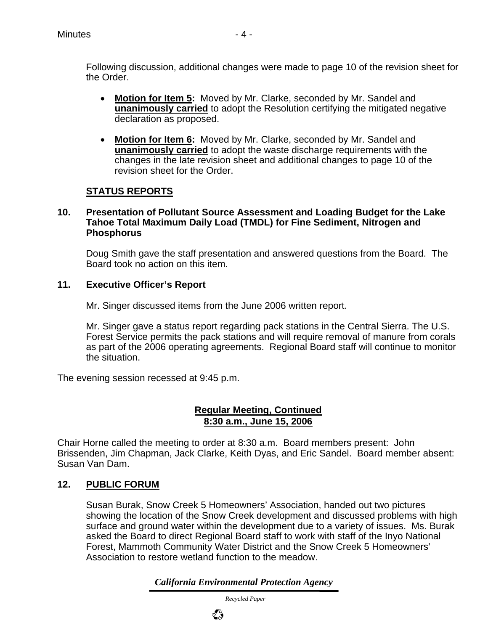- **Motion for Item 5:** Moved by Mr. Clarke, seconded by Mr. Sandel and **unanimously carried** to adopt the Resolution certifying the mitigated negative declaration as proposed.
- **Motion for Item 6:** Moved by Mr. Clarke, seconded by Mr. Sandel and **unanimously carried** to adopt the waste discharge requirements with the changes in the late revision sheet and additional changes to page 10 of the revision sheet for the Order.

## **STATUS REPORTS**

#### **10. Presentation of Pollutant Source Assessment and Loading Budget for the Lake Tahoe Total Maximum Daily Load (TMDL) for Fine Sediment, Nitrogen and Phosphorus**

Doug Smith gave the staff presentation and answered questions from the Board. The Board took no action on this item.

#### **11. Executive Officer's Report**

Mr. Singer discussed items from the June 2006 written report.

Mr. Singer gave a status report regarding pack stations in the Central Sierra. The U.S. Forest Service permits the pack stations and will require removal of manure from corals as part of the 2006 operating agreements. Regional Board staff will continue to monitor the situation.

The evening session recessed at 9:45 p.m.

#### **Regular Meeting, Continued 8:30 a.m., June 15, 2006**

Chair Horne called the meeting to order at 8:30 a.m. Board members present: John Brissenden, Jim Chapman, Jack Clarke, Keith Dyas, and Eric Sandel. Board member absent: Susan Van Dam.

#### **12. PUBLIC FORUM**

Susan Burak, Snow Creek 5 Homeowners' Association, handed out two pictures showing the location of the Snow Creek development and discussed problems with high surface and ground water within the development due to a variety of issues. Ms. Burak asked the Board to direct Regional Board staff to work with staff of the Inyo National Forest, Mammoth Community Water District and the Snow Creek 5 Homeowners' Association to restore wetland function to the meadow.

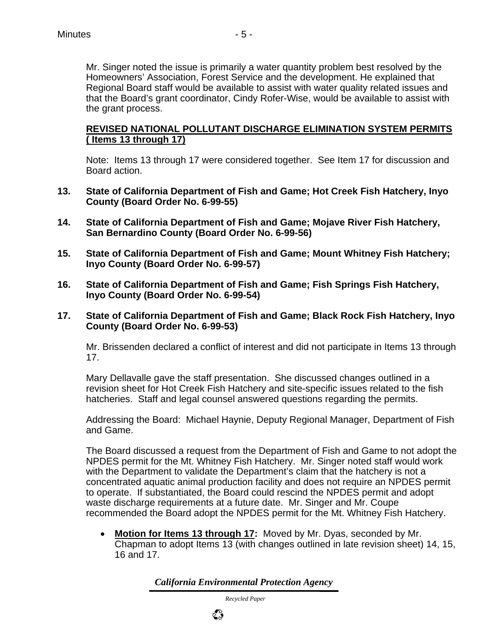Homeowners' Association, Forest Service and the development. He explained that Regional Board staff would be available to assist with water quality related issues and that the Board's grant coordinator, Cindy Rofer-Wise, would be available to assist with the grant process.

#### **REVISED NATIONAL POLLUTANT DISCHARGE ELIMINATION SYSTEM PERMITS ( Items 13 through 17)**

Note: Items 13 through 17 were considered together. See Item 17 for discussion and Board action.

- **13. State of California Department of Fish and Game; Hot Creek Fish Hatchery, Inyo County (Board Order No. 6-99-55)**
- **14. State of California Department of Fish and Game; Mojave River Fish Hatchery, San Bernardino County (Board Order No. 6-99-56)**
- **15. State of California Department of Fish and Game; Mount Whitney Fish Hatchery; Inyo County (Board Order No. 6-99-57)**
- **16. State of California Department of Fish and Game; Fish Springs Fish Hatchery, Inyo County (Board Order No. 6-99-54)**
- **17. State of California Department of Fish and Game; Black Rock Fish Hatchery, Inyo County (Board Order No. 6-99-53)**

Mr. Brissenden declared a conflict of interest and did not participate in Items 13 through 17.

Mary Dellavalle gave the staff presentation. She discussed changes outlined in a revision sheet for Hot Creek Fish Hatchery and site-specific issues related to the fish hatcheries. Staff and legal counsel answered questions regarding the permits.

Addressing the Board: Michael Haynie, Deputy Regional Manager, Department of Fish and Game.

The Board discussed a request from the Department of Fish and Game to not adopt the NPDES permit for the Mt. Whitney Fish Hatchery. Mr. Singer noted staff would work with the Department to validate the Department's claim that the hatchery is not a concentrated aquatic animal production facility and does not require an NPDES permit to operate. If substantiated, the Board could rescind the NPDES permit and adopt waste discharge requirements at a future date. Mr. Singer and Mr. Coupe recommended the Board adopt the NPDES permit for the Mt. Whitney Fish Hatchery.

• **Motion for Items 13 through 17:** Moved by Mr. Dyas, seconded by Mr. Chapman to adopt Items 13 (with changes outlined in late revision sheet) 14, 15, 16 and 17.

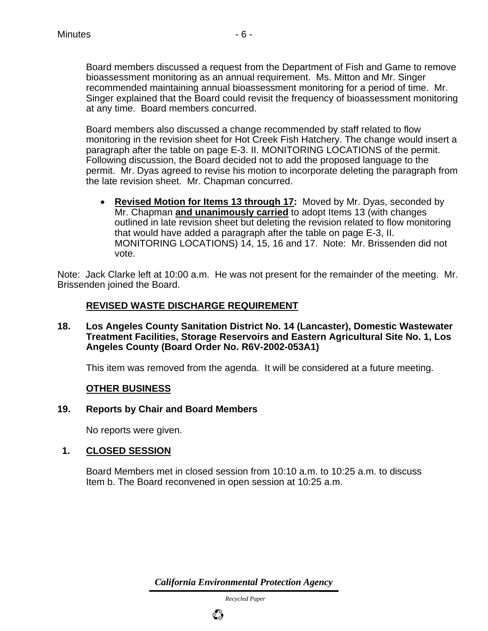Board members discussed a request from the Department of Fish and Game to remove bioassessment monitoring as an annual requirement. Ms. Mitton and Mr. Singer recommended maintaining annual bioassessment monitoring for a period of time. Mr. Singer explained that the Board could revisit the frequency of bioassessment monitoring at any time. Board members concurred.

Board members also discussed a change recommended by staff related to flow monitoring in the revision sheet for Hot Creek Fish Hatchery. The change would insert a paragraph after the table on page E-3. II. MONITORING LOCATIONS of the permit. Following discussion, the Board decided not to add the proposed language to the permit. Mr. Dyas agreed to revise his motion to incorporate deleting the paragraph from the late revision sheet. Mr. Chapman concurred.

• **Revised Motion for Items 13 through 17:** Moved by Mr. Dyas, seconded by Mr. Chapman **and unanimously carried** to adopt Items 13 (with changes outlined in late revision sheet but deleting the revision related to flow monitoring that would have added a paragraph after the table on page E-3, II. MONITORING LOCATIONS) 14, 15, 16 and 17. Note: Mr. Brissenden did not vote.

Note: Jack Clarke left at 10:00 a.m. He was not present for the remainder of the meeting. Mr. Brissenden joined the Board.

## **REVISED WASTE DISCHARGE REQUIREMENT**

**18. Los Angeles County Sanitation District No. 14 (Lancaster), Domestic Wastewater Treatment Facilities, Storage Reservoirs and Eastern Agricultural Site No. 1, Los Angeles County (Board Order No. R6V-2002-053A1)**

This item was removed from the agenda. It will be considered at a future meeting.

#### **OTHER BUSINESS**

#### **19. Reports by Chair and Board Members**

No reports were given.

#### **1. CLOSED SESSION**

Board Members met in closed session from 10:10 a.m. to 10:25 a.m. to discuss Item b. The Board reconvened in open session at 10:25 a.m.